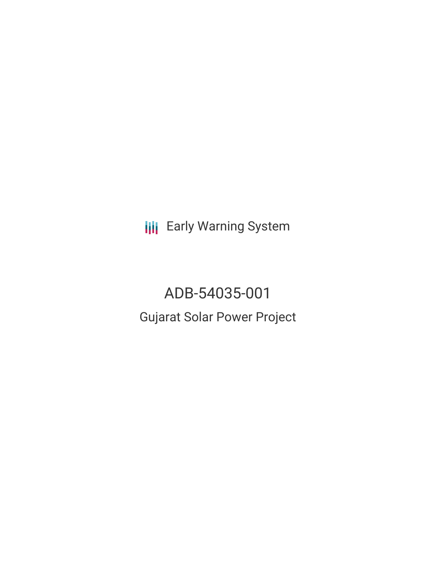**III** Early Warning System

ADB-54035-001 Gujarat Solar Power Project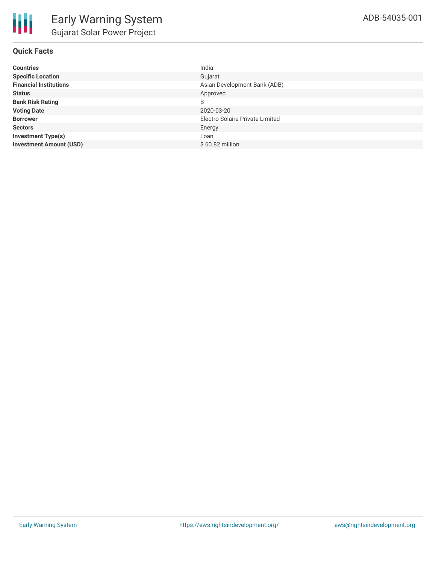## **Quick Facts**

| <b>Countries</b>               | India                           |
|--------------------------------|---------------------------------|
| <b>Specific Location</b>       | Gujarat                         |
| <b>Financial Institutions</b>  | Asian Development Bank (ADB)    |
| <b>Status</b>                  | Approved                        |
| <b>Bank Risk Rating</b>        | B                               |
| <b>Voting Date</b>             | 2020-03-20                      |
| <b>Borrower</b>                | Electro Solaire Private Limited |
| <b>Sectors</b>                 | Energy                          |
| <b>Investment Type(s)</b>      | Loan                            |
| <b>Investment Amount (USD)</b> | $$60.82$ million                |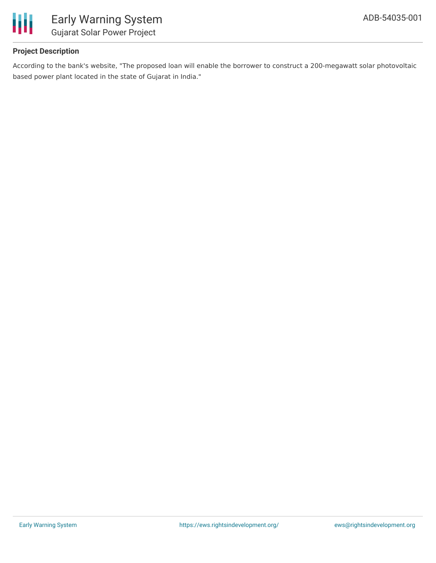

## **Project Description**

According to the bank's website, "The proposed loan will enable the borrower to construct a 200-megawatt solar photovoltaic based power plant located in the state of Gujarat in India."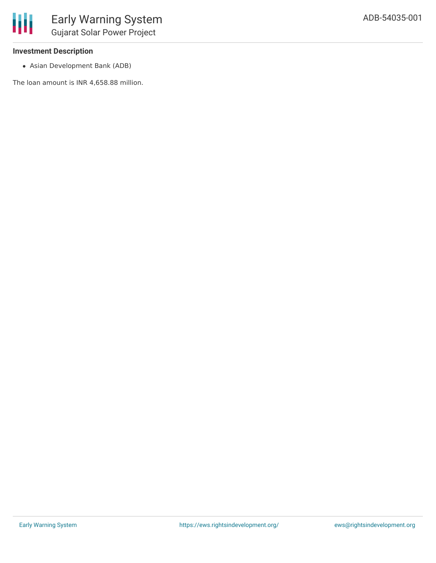### **Investment Description**

Asian Development Bank (ADB)

The loan amount is INR 4,658.88 million.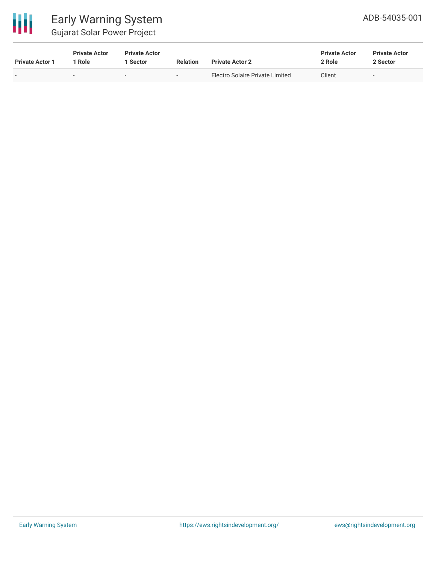

# Early Warning System Gujarat Solar Power Project

| <b>Private Actor 1</b> | <b>Private Actor</b><br>Role | <b>Private Actor</b><br>l Sector. | <b>Relation</b> | <b>Private Actor 2</b>          | <b>Private Actor</b><br>2 Role | <b>Private Actor</b><br>2 Sector |
|------------------------|------------------------------|-----------------------------------|-----------------|---------------------------------|--------------------------------|----------------------------------|
| $\sim$                 | $\sim$                       |                                   | $\sim$          | Electro Solaire Private Limited | Client                         |                                  |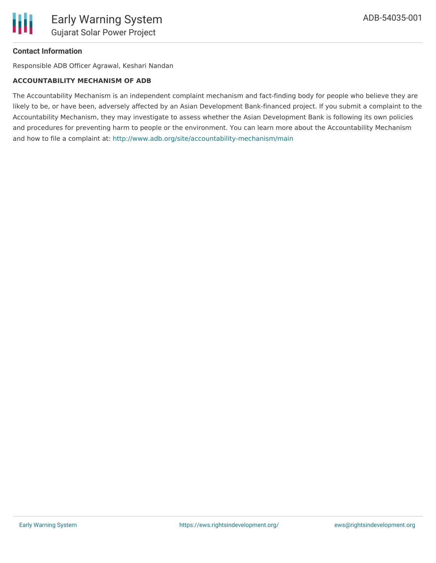### **Contact Information**

Responsible ADB Officer Agrawal, Keshari Nandan

#### **ACCOUNTABILITY MECHANISM OF ADB**

The Accountability Mechanism is an independent complaint mechanism and fact-finding body for people who believe they are likely to be, or have been, adversely affected by an Asian Development Bank-financed project. If you submit a complaint to the Accountability Mechanism, they may investigate to assess whether the Asian Development Bank is following its own policies and procedures for preventing harm to people or the environment. You can learn more about the Accountability Mechanism and how to file a complaint at: <http://www.adb.org/site/accountability-mechanism/main>